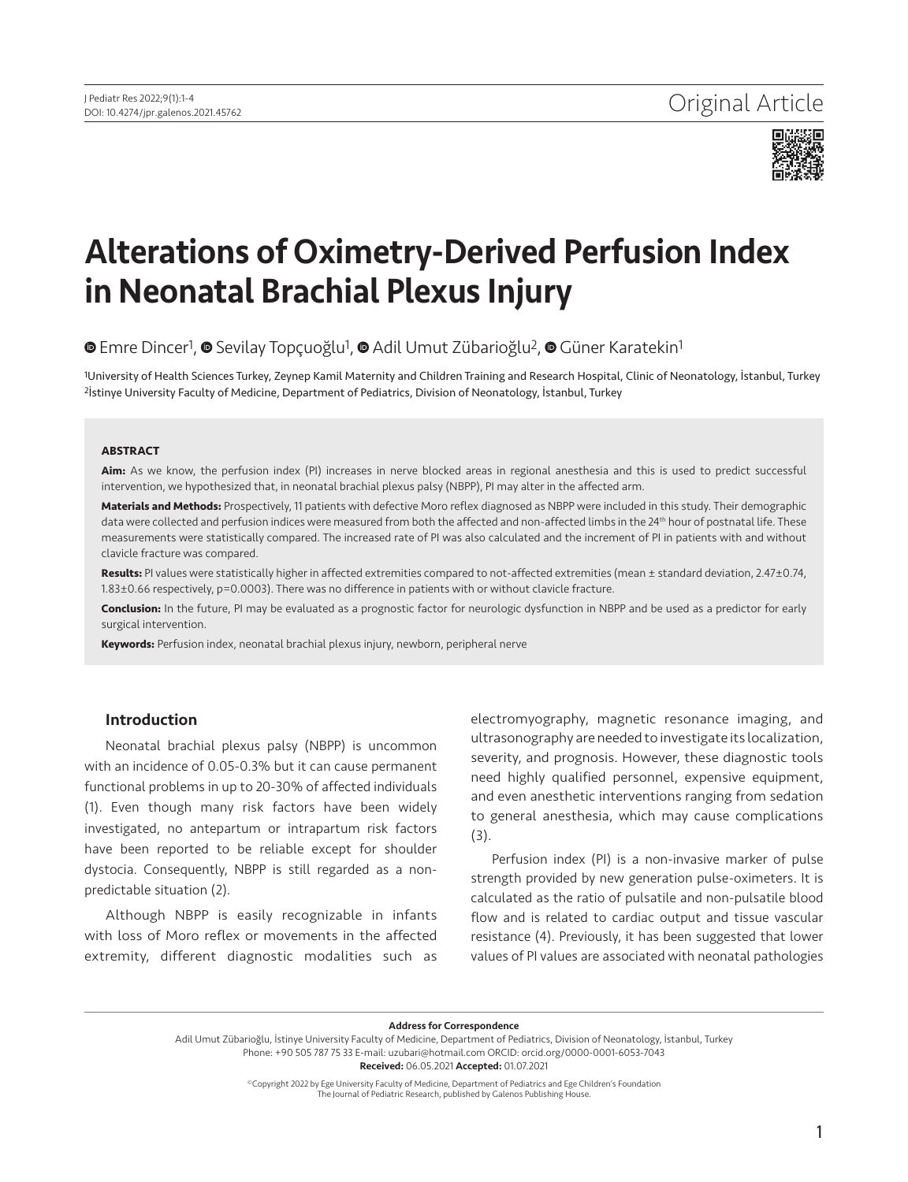

# Alterations of Oximetry-Derived Perfusion Index in Neonatal Brachial Plexus Injury

 $\bullet$  [E](https://orcid.org/0000-0003-1429-3206)mreDincer<sup>1</sup>,  $\bullet$  Sevilay Topçuoğlu<sup>1</sup>,  $\bullet$  Adil Umut Zübarioğlu<sup>2</sup>,  $\bullet$  Güner Karatekin<sup>1</sup>

1University of Health Sciences Turkey, Zeynep Kamil Maternity and Children Training and Research Hospital, Clinic of Neonatology, İstanbul, Turkey 2İstinye University Faculty of Medicine, Department of Pediatrics, Division of Neonatology, İstanbul, Turkey

#### **ABSTRACT**

**Aim:** As we know, the perfusion index (PI) increases in nerve blocked areas in regional anesthesia and this is used to predict successful intervention, we hypothesized that, in neonatal brachial plexus palsy (NBPP), PI may alter in the affected arm.

**Materials and Methods:** Prospectively, 11 patients with defective Moro reflex diagnosed as NBPP were included in this study. Their demographic data were collected and perfusion indices were measured from both the affected and non-affected limbs in the 24<sup>th</sup> hour of postnatal life. These measurements were statistically compared. The increased rate of PI was also calculated and the increment of PI in patients with and without clavicle fracture was compared.

**Results:** PI values were statistically higher in affected extremities compared to not-affected extremities (mean ± standard deviation, 2.47±0.74, 1.83±0.66 respectively, p=0.0003). There was no difference in patients with or without clavicle fracture.

**Conclusion:** In the future, PI may be evaluated as a prognostic factor for neurologic dysfunction in NBPP and be used as a predictor for early surgical intervention.

**Keywords:** Perfusion index, neonatal brachial plexus injury, newborn, peripheral nerve

#### Introduction

Neonatal brachial plexus palsy (NBPP) is uncommon with an incidence of 0.05-0.3% but it can cause permanent functional problems in up to 20-30% of affected individuals (1). Even though many risk factors have been widely investigated, no antepartum or intrapartum risk factors have been reported to be reliable except for shoulder dystocia. Consequently, NBPP is still regarded as a nonpredictable situation (2).

Although NBPP is easily recognizable in infants with loss of Moro reflex or movements in the affected extremity, different diagnostic modalities such as

electromyography, magnetic resonance imaging, and ultrasonography are needed to investigate its localization, severity, and prognosis. However, these diagnostic tools need highly qualified personnel, expensive equipment, and even anesthetic interventions ranging from sedation to general anesthesia, which may cause complications (3).

Perfusion index (PI) is a non-invasive marker of pulse strength provided by new generation pulse-oximeters. It is calculated as the ratio of pulsatile and non-pulsatile blood flow and is related to cardiac output and tissue vascular resistance (4). Previously, it has been suggested that lower values of PI values are associated with neonatal pathologies

Address for Correspondence

Adil Umut Zübarioğlu, İstinye University Faculty of Medicine, Department of Pediatrics, Division of Neonatology, İstanbul, Turkey Phone: +90 505 787 75 33 E-mail: uzubari@hotmail.com ORCID: orcid.org/0000-0001-6053-7043 Received: 06.05.2021 Accepted: 01.07.2021

> ©Copyright 2022 by Ege University Faculty of Medicine, Department of Pediatrics and Ege Children's Foundation The Journal of Pediatric Research, published by Galenos Publishing House.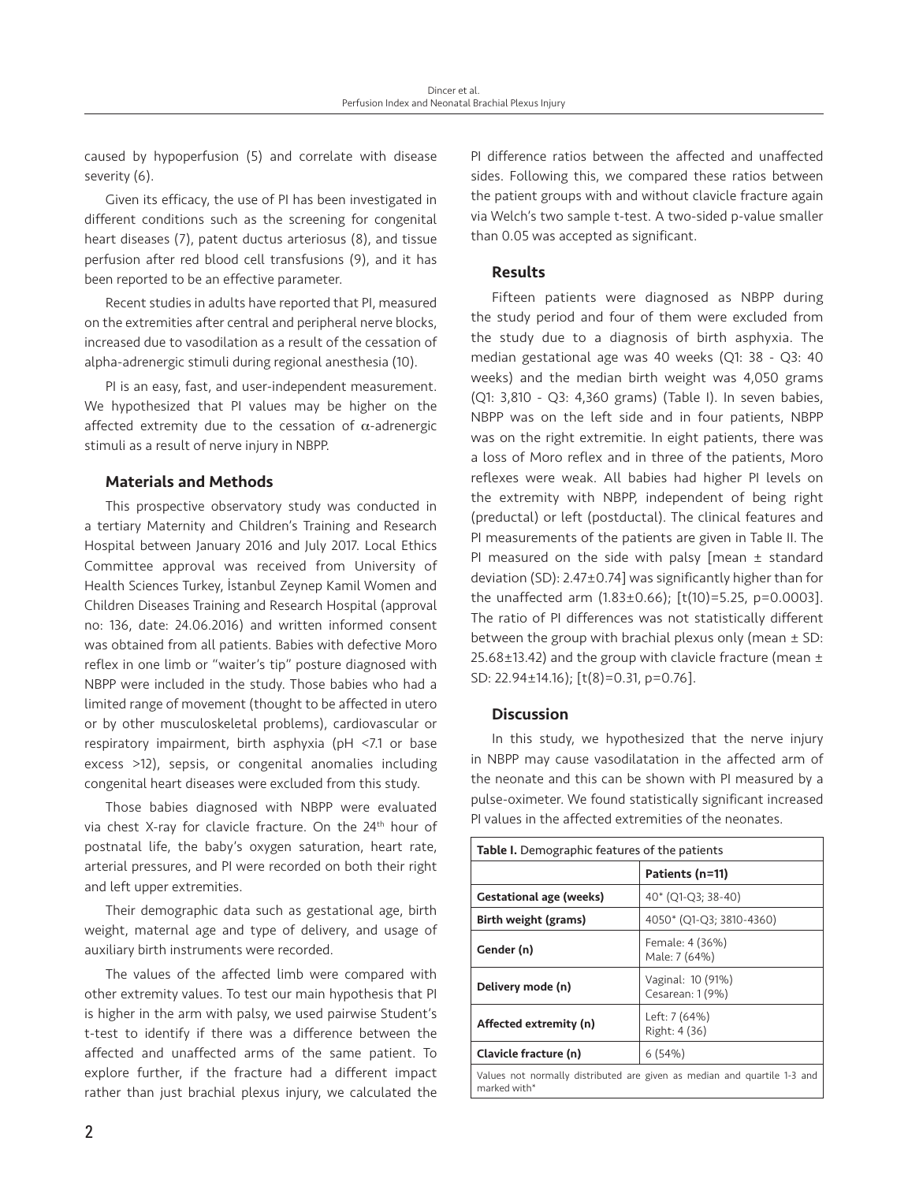caused by hypoperfusion (5) and correlate with disease severity (6).

Given its efficacy, the use of PI has been investigated in different conditions such as the screening for congenital heart diseases (7), patent ductus arteriosus (8), and tissue perfusion after red blood cell transfusions (9), and it has been reported to be an effective parameter.

Recent studies in adults have reported that PI, measured on the extremities after central and peripheral nerve blocks, increased due to vasodilation as a result of the cessation of alpha-adrenergic stimuli during regional anesthesia (10).

PI is an easy, fast, and user-independent measurement. We hypothesized that PI values may be higher on the affected extremity due to the cessation of  $\alpha$ -adrenergic stimuli as a result of nerve injury in NBPP.

# Materials and Methods

This prospective observatory study was conducted in a tertiary Maternity and Children's Training and Research Hospital between January 2016 and July 2017. Local Ethics Committee approval was received from University of Health Sciences Turkey, İstanbul Zeynep Kamil Women and Children Diseases Training and Research Hospital (approval no: 136, date: 24.06.2016) and written informed consent was obtained from all patients. Babies with defective Moro reflex in one limb or "waiter's tip" posture diagnosed with NBPP were included in the study. Those babies who had a limited range of movement (thought to be affected in utero or by other musculoskeletal problems), cardiovascular or respiratory impairment, birth asphyxia (pH <7.1 or base excess >12), sepsis, or congenital anomalies including congenital heart diseases were excluded from this study.

Those babies diagnosed with NBPP were evaluated via chest X-ray for clavicle fracture. On the 24<sup>th</sup> hour of postnatal life, the baby's oxygen saturation, heart rate, arterial pressures, and PI were recorded on both their right and left upper extremities.

Their demographic data such as gestational age, birth weight, maternal age and type of delivery, and usage of auxiliary birth instruments were recorded.

The values of the affected limb were compared with other extremity values. To test our main hypothesis that PI is higher in the arm with palsy, we used pairwise Student's t-test to identify if there was a difference between the affected and unaffected arms of the same patient. To explore further, if the fracture had a different impact rather than just brachial plexus injury, we calculated the PI difference ratios between the affected and unaffected sides. Following this, we compared these ratios between the patient groups with and without clavicle fracture again via Welch's two sample t-test. A two-sided p-value smaller than 0.05 was accepted as significant.

# Results

Fifteen patients were diagnosed as NBPP during the study period and four of them were excluded from the study due to a diagnosis of birth asphyxia. The median gestational age was 40 weeks (Q1: 38 - Q3: 40 weeks) and the median birth weight was 4,050 grams (Q1: 3,810 - Q3: 4,360 grams) (Table I). In seven babies, NBPP was on the left side and in four patients, NBPP was on the right extremitie. In eight patients, there was a loss of Moro reflex and in three of the patients, Moro reflexes were weak. All babies had higher PI levels on the extremity with NBPP, independent of being right (preductal) or left (postductal). The clinical features and PI measurements of the patients are given in Table II. The PI measured on the side with palsy  $[mean \pm standard]$ deviation (SD): 2.47±0.74] was significantly higher than for the unaffected arm (1.83±0.66); [t(10)=5.25, p=0.0003]. The ratio of PI differences was not statistically different between the group with brachial plexus only (mean ± SD: 25.68±13.42) and the group with clavicle fracture (mean ± SD: 22.94±14.16); [t(8)=0.31, p=0.76].

## **Discussion**

In this study, we hypothesized that the nerve injury in NBPP may cause vasodilatation in the affected arm of the neonate and this can be shown with PI measured by a pulse-oximeter. We found statistically significant increased PI values in the affected extremities of the neonates.

| <b>Table I.</b> Demographic features of the patients                                     |                                       |  |  |  |  |
|------------------------------------------------------------------------------------------|---------------------------------------|--|--|--|--|
|                                                                                          | Patients (n=11)                       |  |  |  |  |
| <b>Gestational age (weeks)</b>                                                           | 40* (Q1-Q3; 38-40)                    |  |  |  |  |
| Birth weight (grams)                                                                     | 4050* (Q1-Q3; 3810-4360)              |  |  |  |  |
| Gender (n)                                                                               | Female: 4 (36%)<br>Male: 7 (64%)      |  |  |  |  |
| Delivery mode (n)                                                                        | Vaginal: 10 (91%)<br>Cesarean: 1 (9%) |  |  |  |  |
| Affected extremity (n)                                                                   | Left: 7 (64%)<br>Right: 4 (36)        |  |  |  |  |
| Clavicle fracture (n)                                                                    | 6(54%)                                |  |  |  |  |
| Values not normally distributed are given as median and quartile 1-3 and<br>marked with* |                                       |  |  |  |  |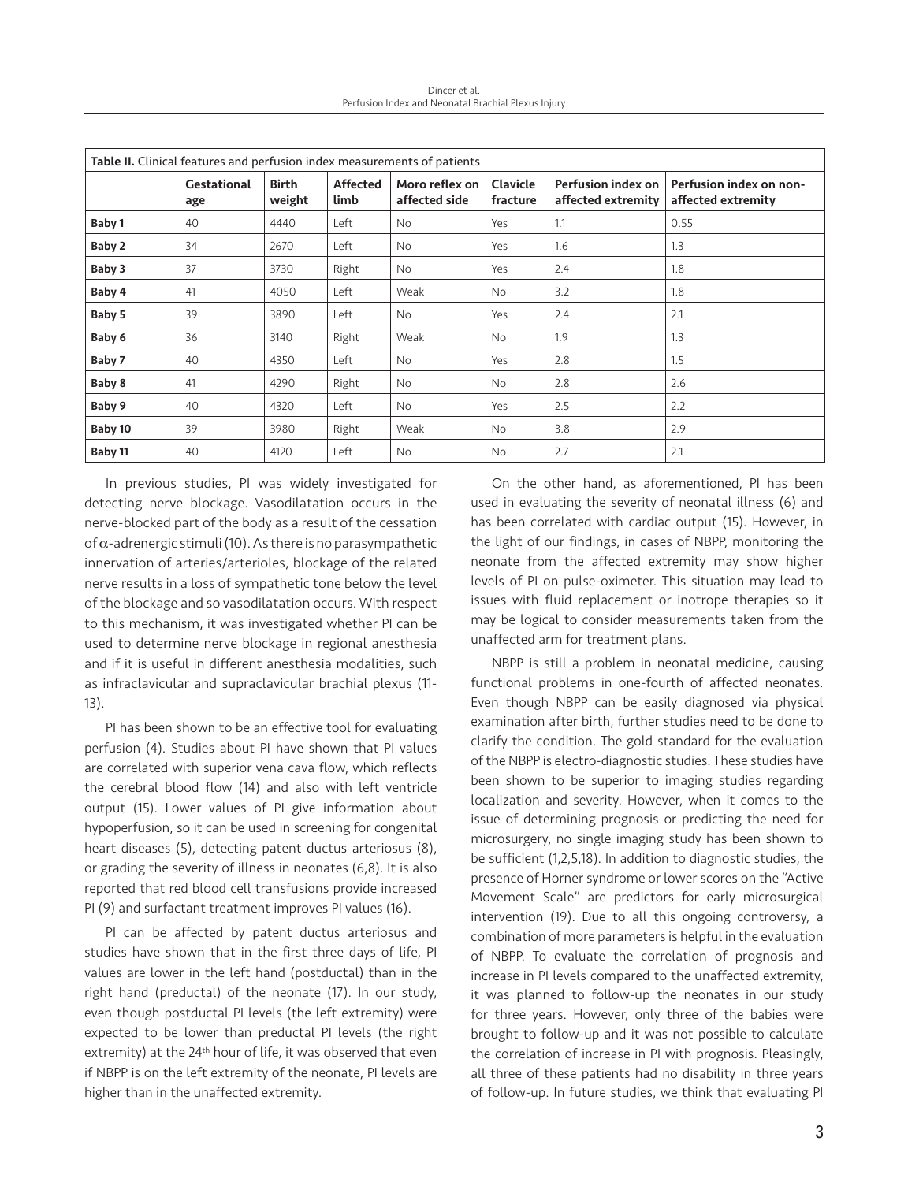Dincer et al. Perfusion Index and Neonatal Brachial Plexus Injury

| Table II. Clinical features and perfusion index measurements of patients |                           |                        |                         |                                 |                      |                                                 |                                               |  |
|--------------------------------------------------------------------------|---------------------------|------------------------|-------------------------|---------------------------------|----------------------|-------------------------------------------------|-----------------------------------------------|--|
|                                                                          | <b>Gestational</b><br>age | <b>Birth</b><br>weight | <b>Affected</b><br>limb | Moro reflex on<br>affected side | Clavicle<br>fracture | <b>Perfusion index on</b><br>affected extremity | Perfusion index on non-<br>affected extremity |  |
| Baby 1                                                                   | 40                        | 4440                   | Left                    | <b>No</b>                       | Yes                  | 1.1                                             | 0.55                                          |  |
| Baby 2                                                                   | 34                        | 2670                   | Left                    | No                              | Yes                  | 1.6                                             | 1.3                                           |  |
| Baby 3                                                                   | 37                        | 3730                   | Right                   | No                              | Yes                  | 2.4                                             | 1.8                                           |  |
| Baby 4                                                                   | 41                        | 4050                   | Left                    | Weak                            | No                   | 3.2                                             | 1.8                                           |  |
| Baby 5                                                                   | 39                        | 3890                   | Left                    | <b>No</b>                       | Yes                  | 2.4                                             | 2.1                                           |  |
| Baby 6                                                                   | 36                        | 3140                   | Right                   | Weak                            | No                   | 1.9                                             | 1.3                                           |  |
| Baby 7                                                                   | 40                        | 4350                   | Left                    | No                              | Yes                  | 2.8                                             | 1.5                                           |  |
| Baby 8                                                                   | 41                        | 4290                   | Right                   | <b>No</b>                       | <b>No</b>            | 2.8                                             | 2.6                                           |  |
| Baby 9                                                                   | 40                        | 4320                   | Left                    | No                              | Yes                  | 2.5                                             | 2.2                                           |  |
| Baby 10                                                                  | 39                        | 3980                   | Right                   | Weak                            | No                   | 3.8                                             | 2.9                                           |  |
| Baby 11                                                                  | 40                        | 4120                   | Left                    | No                              | No                   | 2.7                                             | 2.1                                           |  |

In previous studies, PI was widely investigated for detecting nerve blockage. Vasodilatation occurs in the nerve-blocked part of the body as a result of the cessation of  $\alpha$ -adrenergic stimuli (10). As there is no parasympathetic innervation of arteries/arterioles, blockage of the related nerve results in a loss of sympathetic tone below the level of the blockage and so vasodilatation occurs. With respect to this mechanism, it was investigated whether PI can be used to determine nerve blockage in regional anesthesia and if it is useful in different anesthesia modalities, such as infraclavicular and supraclavicular brachial plexus (11- 13).

PI has been shown to be an effective tool for evaluating perfusion (4). Studies about PI have shown that PI values are correlated with superior vena cava flow, which reflects the cerebral blood flow (14) and also with left ventricle output (15). Lower values of PI give information about hypoperfusion, so it can be used in screening for congenital heart diseases (5), detecting patent ductus arteriosus (8), or grading the severity of illness in neonates (6,8). It is also reported that red blood cell transfusions provide increased PI (9) and surfactant treatment improves PI values (16).

PI can be affected by patent ductus arteriosus and studies have shown that in the first three days of life, PI values are lower in the left hand (postductal) than in the right hand (preductal) of the neonate (17). In our study, even though postductal PI levels (the left extremity) were expected to be lower than preductal PI levels (the right extremity) at the 24<sup>th</sup> hour of life, it was observed that even if NBPP is on the left extremity of the neonate, PI levels are higher than in the unaffected extremity.

On the other hand, as aforementioned, PI has been used in evaluating the severity of neonatal illness (6) and has been correlated with cardiac output (15). However, in the light of our findings, in cases of NBPP, monitoring the neonate from the affected extremity may show higher levels of PI on pulse-oximeter. This situation may lead to issues with fluid replacement or inotrope therapies so it may be logical to consider measurements taken from the unaffected arm for treatment plans.

NBPP is still a problem in neonatal medicine, causing functional problems in one-fourth of affected neonates. Even though NBPP can be easily diagnosed via physical examination after birth, further studies need to be done to clarify the condition. The gold standard for the evaluation of the NBPP is electro-diagnostic studies. These studies have been shown to be superior to imaging studies regarding localization and severity. However, when it comes to the issue of determining prognosis or predicting the need for microsurgery, no single imaging study has been shown to be sufficient (1,2,5,18). In addition to diagnostic studies, the presence of Horner syndrome or lower scores on the "Active Movement Scale" are predictors for early microsurgical intervention (19). Due to all this ongoing controversy, a combination of more parameters is helpful in the evaluation of NBPP. To evaluate the correlation of prognosis and increase in PI levels compared to the unaffected extremity, it was planned to follow-up the neonates in our study for three years. However, only three of the babies were brought to follow-up and it was not possible to calculate the correlation of increase in PI with prognosis. Pleasingly, all three of these patients had no disability in three years of follow-up. In future studies, we think that evaluating PI